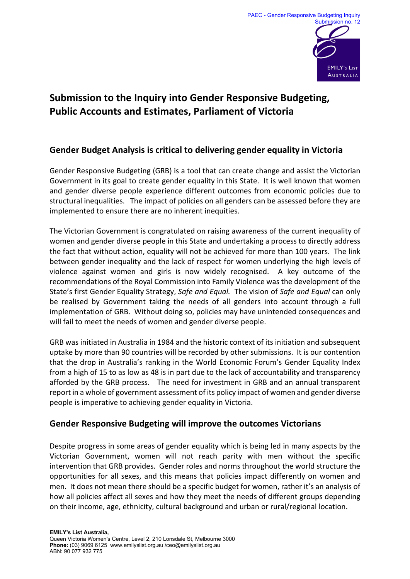

# **Submission to the Inquiry into Gender Responsive Budgeting, Public Accounts and Estimates, Parliament of Victoria**

## **Gender Budget Analysis is critical to delivering gender equality in Victoria**

Gender Responsive Budgeting (GRB) is a tool that can create change and assist the Victorian Government in its goal to create gender equality in this State. It is well known that women and gender diverse people experience different outcomes from economic policies due to structural inequalities. The impact of policies on all genders can be assessed before they are implemented to ensure there are no inherent inequities.

The Victorian Government is congratulated on raising awareness of the current inequality of women and gender diverse people in this State and undertaking a process to directly address the fact that without action, equality will not be achieved for more than 100 years. The link between gender inequality and the lack of respect for women underlying the high levels of violence against women and girls is now widely recognised. A key outcome of the recommendations of the Royal Commission into Family Violence was the development of the State's first Gender Equality Strategy, *Safe and Equal.* The vision of *Safe and Equal* can only be realised by Government taking the needs of all genders into account through a full implementation of GRB. Without doing so, policies may have unintended consequences and will fail to meet the needs of women and gender diverse people.

GRB was initiated in Australia in 1984 and the historic context of its initiation and subsequent uptake by more than 90 countries will be recorded by other submissions. It is our contention that the drop in Australia's ranking in the World Economic Forum's Gender Equality Index from a high of 15 to as low as 48 is in part due to the lack of accountability and transparency afforded by the GRB process. The need for investment in GRB and an annual transparent report in a whole of government assessment of its policy impact of women and gender diverse people is imperative to achieving gender equality in Victoria.

### **Gender Responsive Budgeting will improve the outcomes Victorians**

Despite progress in some areas of gender equality which is being led in many aspects by the Victorian Government, women will not reach parity with men without the specific intervention that GRB provides. Gender roles and norms throughout the world structure the opportunities for all sexes, and this means that policies impact differently on women and men. It does not mean there should be a specific budget for women, rather it's an analysis of how all policies affect all sexes and how they meet the needs of different groups depending on their income, age, ethnicity, cultural background and urban or rural/regional location.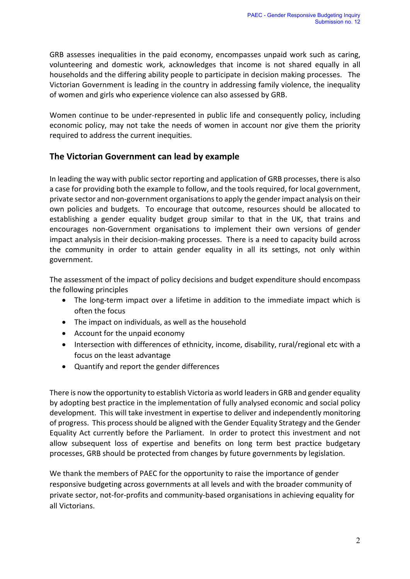GRB assesses inequalities in the paid economy, encompasses unpaid work such as caring, volunteering and domestic work, acknowledges that income is not shared equally in all households and the differing ability people to participate in decision making processes. The Victorian Government is leading in the country in addressing family violence, the inequality of women and girls who experience violence can also assessed by GRB.

Women continue to be under-represented in public life and consequently policy, including economic policy, may not take the needs of women in account nor give them the priority required to address the current inequities.

#### **The Victorian Government can lead by example**

In leading the way with public sector reporting and application of GRB processes, there is also a case for providing both the example to follow, and the tools required, for local government, private sector and non-government organisations to apply the gender impact analysis on their own policies and budgets. To encourage that outcome, resources should be allocated to establishing a gender equality budget group similar to that in the UK, that trains and encourages non-Government organisations to implement their own versions of gender impact analysis in their decision-making processes. There is a need to capacity build across the community in order to attain gender equality in all its settings, not only within government.

The assessment of the impact of policy decisions and budget expenditure should encompass the following principles

- The long-term impact over a lifetime in addition to the immediate impact which is often the focus
- The impact on individuals, as well as the household
- Account for the unpaid economy
- Intersection with differences of ethnicity, income, disability, rural/regional etc with a focus on the least advantage
- Quantify and report the gender differences

There is now the opportunity to establish Victoria as world leadersin GRB and gender equality by adopting best practice in the implementation of fully analysed economic and social policy development. This will take investment in expertise to deliver and independently monitoring of progress. This process should be aligned with the Gender Equality Strategy and the Gender Equality Act currently before the Parliament. In order to protect this investment and not allow subsequent loss of expertise and benefits on long term best practice budgetary processes, GRB should be protected from changes by future governments by legislation.

We thank the members of PAEC for the opportunity to raise the importance of gender responsive budgeting across governments at all levels and with the broader community of private sector, not-for-profits and community-based organisations in achieving equality for all Victorians.